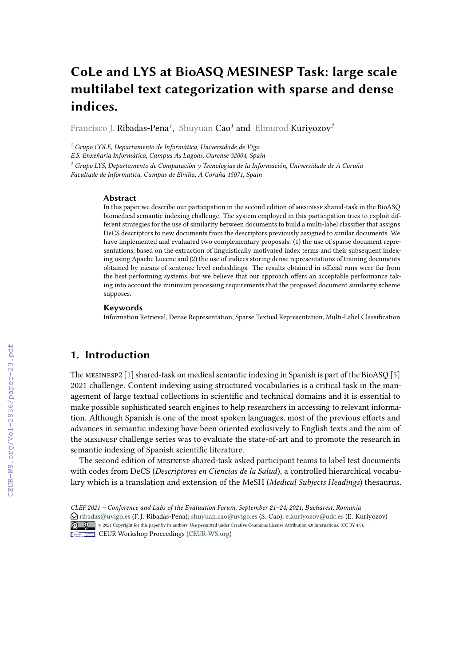# **CoLe and LYS at BioASQ MESINESP Task: large scale multilabel text categorization with sparse and dense indices.**

Francisco J. Ribadas-Pena*<sup>1</sup>* , Shuyuan Cao*<sup>1</sup>* and Elmurod Kuriyozov*<sup>2</sup>*

*<sup>1</sup> Grupo COLE, Departamento de Informática, Universidade de Vigo*

*E.S. Enxeñaría Informática, Campus As Lagoas, Ourense 32004, Spain*

*<sup>2</sup> Grupo LYS, Departamento de Computación y Tecnologías de la Información, Universidade de A Coruña Facultade de Informatica, Campus de Elviña, A Coruña 15071, Spain*

#### **Abstract**

In this paper we describe our participation in the second edition of mesinesp shared-task in the BioASQ biomedical semantic indexing challenge. The system employed in this participation tries to exploit different strategies for the use of similarity between documents to build a multi-label classifier that assigns DeCS descriptors to new documents from the descriptors previously assigned to similar documents. We have implemented and evaluated two complementary proposals: (1) the use of sparse document representations, based on the extraction of linguistically motivated index terms and their subsequent indexing using Apache Lucene and (2) the use of indices storing dense representations of training documents obtained by means of sentence level embeddings. The results obtained in official runs were far from the best performing systems, but we believe that our approach offers an acceptable performance taking into account the minimum processing requirements that the proposed document similarity scheme supposes.

#### **Keywords**

Information Retrieval, Dense Representation, Sparse Textual Representation, Multi-Label Classification

## **1. Introduction**

The mesinesp2 [\[1\]](#page--1-0) shared-task on medical semantic indexing in Spanish is part of the BioASQ [\[5\]](#page--1-1) 2021 challenge. Content indexing using structured vocabularies is a critical task in the management of large textual collections in scientific and technical domains and it is essential to make possible sophisticated search engines to help researchers in accessing to relevant information. Although Spanish is one of the most spoken languages, most of the previous efforts and advances in semantic indexing have been oriented exclusively to English texts and the aim of the mesinesp challenge series was to evaluate the state-of-art and to promote the research in semantic indexing of Spanish scientific literature.

The second edition of mesinesp shared-task asked participant teams to label test documents with codes from DeCS (*Descriptores en Ciencias de la Salud*), a controlled hierarchical vocabulary which is a translation and extension of the MeSH (*Medical Subjects Headings*) thesaurus.

*CLEF 2021 – Conference and Labs of the Evaluation Forum, September 21–24, 2021, Bucharest, Romania* [ribadas@uvigo.es](mailto:ribadas@uvigo.es) (F. J. Ribadas-Pena); [shuyuan.cao@uvigo.es](mailto:shuyuan.cao@uvigo.es) (S. Cao); [e.kuriyozov@udc.es](mailto:e.kuriyozov@udc.es) (E. Kuriyozov) © 2021 Copyright for this paper by its authors. Use permitted under Creative Commons License Attribution 4.0 International (CC BY 4.0).

**CEUR Workshop [Proceedings](http://ceur-ws.org) [\(CEUR-WS.org\)](http://ceur-ws.org)**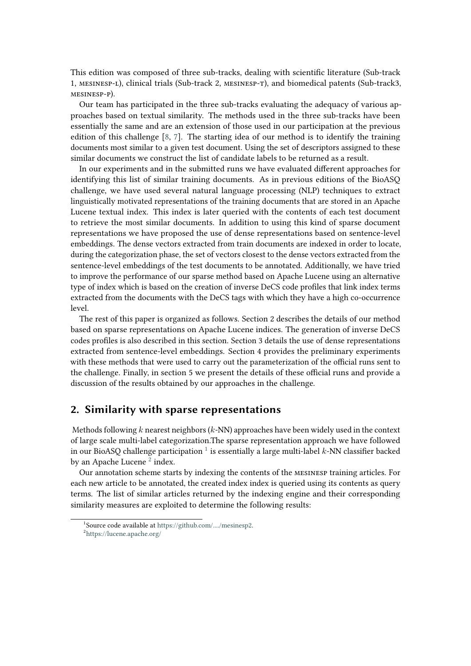This edition was composed of three sub-tracks, dealing with scientific literature (Sub-track 1, mesinesp-l), clinical trials (Sub-track 2, mesinesp-t), and biomedical patents (Sub-track3, mesinesp-p).

Our team has participated in the three sub-tracks evaluating the adequacy of various approaches based on textual similarity. The methods used in the three sub-tracks have been essentially the same and are an extension of those used in our participation at the previous edition of this challenge  $[8, 7]$  $[8, 7]$  $[8, 7]$ . The starting idea of our method is to identify the training documents most similar to a given test document. Using the set of descriptors assigned to these similar documents we construct the list of candidate labels to be returned as a result.

In our experiments and in the submitted runs we have evaluated different approaches for identifying this list of similar training documents. As in previous editions of the BioASQ challenge, we have used several natural language processing (NLP) techniques to extract linguistically motivated representations of the training documents that are stored in an Apache Lucene textual index. This index is later queried with the contents of each test document to retrieve the most similar documents. In addition to using this kind of sparse document representations we have proposed the use of dense representations based on sentence-level embeddings. The dense vectors extracted from train documents are indexed in order to locate, during the categorization phase, the set of vectors closest to the dense vectors extracted from the sentence-level embeddings of the test documents to be annotated. Additionally, we have tried to improve the performance of our sparse method based on Apache Lucene using an alternative type of index which is based on the creation of inverse DeCS code profiles that link index terms extracted from the documents with the DeCS tags with which they have a high co-occurrence level.

The rest of this paper is organized as follows. Section 2 describes the details of our method based on sparse representations on Apache Lucene indices. The generation of inverse DeCS codes profiles is also described in this section. Section 3 details the use of dense representations extracted from sentence-level embeddings. Section 4 provides the preliminary experiments with these methods that were used to carry out the parameterization of the official runs sent to the challenge. Finally, in section 5 we present the details of these official runs and provide a discussion of the results obtained by our approaches in the challenge.

#### <span id="page-1-2"></span>**2. Similarity with sparse representations**

Methods following  $k$  nearest neighbors  $(k-NN)$  approaches have been widely used in the context of large scale multi-label categorization.The sparse representation approach we have followed in our BioASQ challenge participation  $^1$  $^1$  is essentially a large multi-label  $k$ -NN classifier backed by an Apache Lucene<sup>[2](#page-1-1)</sup> index.

Our annotation scheme starts by indexing the contents of the mesinesp training articles. For each new article to be annotated, the created index index is queried using its contents as query terms. The list of similar articles returned by the indexing engine and their corresponding similarity measures are exploited to determine the following results:

<span id="page-1-1"></span><span id="page-1-0"></span><sup>1</sup> Source code available at [https://github.com/..../mesinesp2.](https://github.com/..../mesinesp2) 2 <https://lucene.apache.org/>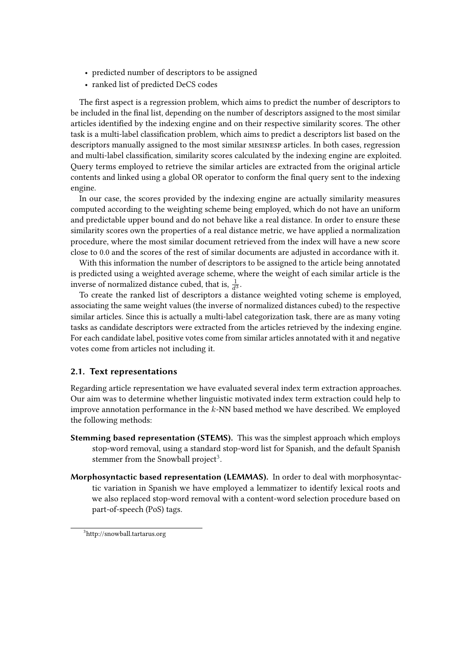- predicted number of descriptors to be assigned
- ranked list of predicted DeCS codes

The first aspect is a regression problem, which aims to predict the number of descriptors to be included in the final list, depending on the number of descriptors assigned to the most similar articles identified by the indexing engine and on their respective similarity scores. The other task is a multi-label classification problem, which aims to predict a descriptors list based on the descriptors manually assigned to the most similar mesinesp articles. In both cases, regression and multi-label classification, similarity scores calculated by the indexing engine are exploited. Query terms employed to retrieve the similar articles are extracted from the original article contents and linked using a global OR operator to conform the final query sent to the indexing engine.

In our case, the scores provided by the indexing engine are actually similarity measures computed according to the weighting scheme being employed, which do not have an uniform and predictable upper bound and do not behave like a real distance. In order to ensure these similarity scores own the properties of a real distance metric, we have applied a normalization procedure, where the most similar document retrieved from the index will have a new score close to 0.0 and the scores of the rest of similar documents are adjusted in accordance with it.

With this information the number of descriptors to be assigned to the article being annotated is predicted using a weighted average scheme, where the weight of each similar article is the inverse of normalized distance cubed, that is,  $\frac{1}{d^3}$ .

To create the ranked list of descriptors a distance weighted voting scheme is employed, associating the same weight values (the inverse of normalized distances cubed) to the respective similar articles. Since this is actually a multi-label categorization task, there are as many voting tasks as candidate descriptors were extracted from the articles retrieved by the indexing engine. For each candidate label, positive votes come from similar articles annotated with it and negative votes come from articles not including it.

#### <span id="page-2-1"></span>**2.1. Text representations**

Regarding article representation we have evaluated several index term extraction approaches. Our aim was to determine whether linguistic motivated index term extraction could help to improve annotation performance in the  $k$ -NN based method we have described. We employed the following methods:

- **Stemming based representation (STEMS).** This was the simplest approach which employs stop-word removal, using a standard stop-word list for Spanish, and the default Spanish stemmer from the Snowball project<sup>[3](#page-2-0)</sup>.
- **Morphosyntactic based representation (LEMMAS).** In order to deal with morphosyntactic variation in Spanish we have employed a lemmatizer to identify lexical roots and we also replaced stop-word removal with a content-word selection procedure based on part-of-speech (PoS) tags.

<span id="page-2-0"></span><sup>3</sup> http://snowball.tartarus.org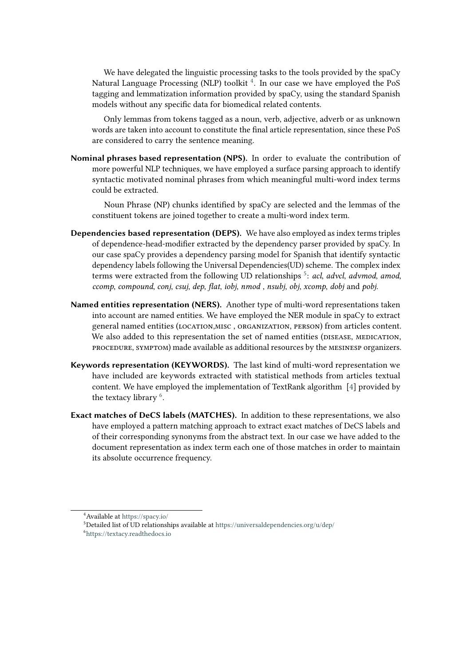We have delegated the linguistic processing tasks to the tools provided by the spaCy Natural Language Processing (NLP) toolkit  $^4.$  $^4.$  $^4.$  In our case we have employed the PoS tagging and lemmatization information provided by spaCy, using the standard Spanish models without any specific data for biomedical related contents.

Only lemmas from tokens tagged as a noun, verb, adjective, adverb or as unknown words are taken into account to constitute the final article representation, since these PoS are considered to carry the sentence meaning.

**Nominal phrases based representation (NPS).** In order to evaluate the contribution of more powerful NLP techniques, we have employed a surface parsing approach to identify syntactic motivated nominal phrases from which meaningful multi-word index terms could be extracted.

Noun Phrase (NP) chunks identified by spaCy are selected and the lemmas of the constituent tokens are joined together to create a multi-word index term.

- **Dependencies based representation (DEPS).** We have also employed as index terms triples of dependence-head-modifier extracted by the dependency parser provided by spaCy. In our case spaCy provides a dependency parsing model for Spanish that identify syntactic dependency labels following the Universal Dependencies(UD) scheme. The complex index terms were extracted from the following UD relationships [5](#page-3-1) : *acl*, *advcl*, *advmod*, *amod*, *ccomp*, *compound*, *conj*, *csuj*, *dep*, *flat*, *iobj*, *nmod* , *nsubj*, *obj*, *xcomp*, *dobj* and *pobj*.
- **Named entities representation (NERS).** Another type of multi-word representations taken into account are named entities. We have employed the NER module in spaCy to extract general named entities (location,misc , organization, person) from articles content. We also added to this representation the set of named entities (pisease, MEDICATION, procedure, symptom) made available as additional resources by the mesinesp organizers.
- **Keywords representation (KEYWORDS).** The last kind of multi-word representation we have included are keywords extracted with statistical methods from articles textual content. We have employed the implementation of TextRank algorithm [\[4\]](#page-10-2) provided by the textacy library  $6$ .
- **Exact matches of DeCS labels (MATCHES).** In addition to these representations, we also have employed a pattern matching approach to extract exact matches of DeCS labels and of their corresponding synonyms from the abstract text. In our case we have added to the document representation as index term each one of those matches in order to maintain its absolute occurrence frequency.

<span id="page-3-0"></span><sup>4</sup>Available at <https://spacy.io/>

<span id="page-3-1"></span> $5$ Detailed list of UD relationships available at <https://universaldependencies.org/u/dep/>

<span id="page-3-2"></span><sup>6</sup> <https://textacy.readthedocs.io>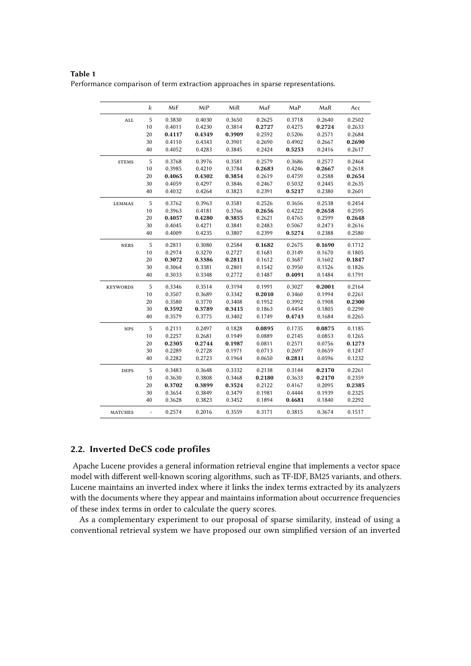#### **Table 1**

<span id="page-4-0"></span>Performance comparison of term extraction approaches in sparse representations.

|                 | $_{k}$                   | MiF    | MiP    | MiR    | MaF    | MaP    | MaR    | Acc    |
|-----------------|--------------------------|--------|--------|--------|--------|--------|--------|--------|
| $\mathbf{ALL}$  | $\sqrt{5}$               | 0.3830 | 0.4030 | 0.3650 | 0.2625 | 0.3718 | 0.2640 | 0.2502 |
|                 | 10                       | 0.4011 | 0.4230 | 0.3814 | 0.2727 | 0.4275 | 0.2724 | 0.2633 |
|                 | 20                       | 0.4117 | 0.4349 | 0.3909 | 0.2592 | 0.5206 | 0.2571 | 0.2684 |
|                 | 30                       | 0.4110 | 0.4343 | 0.3901 | 0.2690 | 0.4902 | 0.2667 | 0.2690 |
|                 | 40                       | 0.4052 | 0.4283 | 0.3845 | 0.2424 | 0.5253 | 0.2416 | 0.2617 |
| <b>STEMS</b>    | $\sqrt{5}$               | 0.3768 | 0.3976 | 0.3581 | 0.2579 | 0.3686 | 0.2577 | 0.2464 |
|                 | 10                       | 0.3985 | 0.4210 | 0.3784 | 0.2683 | 0.4246 | 0.2667 | 0.2618 |
|                 | 20                       | 0.4065 | 0.4302 | 0.3854 | 0.2619 | 0.4759 | 0.2588 | 0.2654 |
|                 | 30                       | 0.4059 | 0.4297 | 0.3846 | 0.2467 | 0.5032 | 0.2445 | 0.2635 |
|                 | 40                       | 0.4032 | 0.4264 | 0.3823 | 0.2391 | 0.5217 | 0.2380 | 0.2601 |
| <b>LEMMAS</b>   | $\sqrt{5}$               | 0.3762 | 0.3963 | 0.3581 | 0.2526 | 0.3656 | 0.2538 | 0.2454 |
|                 | 10                       | 0.3963 | 0.4181 | 0.3766 | 0.2656 | 0.4222 | 0.2658 | 0.2595 |
|                 | 20                       | 0.4057 | 0.4280 | 0.3855 | 0.2621 | 0.4765 | 0.2599 | 0.2648 |
|                 | 30                       | 0.4045 | 0.4271 | 0.3841 | 0.2483 | 0.5067 | 0.2473 | 0.2616 |
|                 | 40                       | 0.4009 | 0.4235 | 0.3807 | 0.2399 | 0.5274 | 0.2388 | 0.2580 |
| <b>NERS</b>     | $\sqrt{5}$               | 0.2811 | 0.3080 | 0.2584 | 0.1682 | 0.2675 | 0.1690 | 0.1712 |
|                 | 10                       | 0.2974 | 0.3270 | 0.2727 | 0.1681 | 0.3149 | 0.1670 | 0.1805 |
|                 | 20                       | 0.3072 | 0.3386 | 0.2811 | 0.1612 | 0.3687 | 0.1602 | 0.1847 |
|                 | 30                       | 0.3064 | 0.3381 | 0.2801 | 0.1542 | 0.3950 | 0.1526 | 0.1826 |
|                 | 40                       | 0.3033 | 0.3348 | 0.2772 | 0.1487 | 0.4091 | 0.1484 | 0.1791 |
| <b>KEYWORDS</b> | $\sqrt{5}$               | 0.3346 | 0.3514 | 0.3194 | 0.1991 | 0.3027 | 0.2001 | 0.2164 |
|                 | 10                       | 0.3507 | 0.3689 | 0.3342 | 0.2010 | 0.3460 | 0.1994 | 0.2261 |
|                 | 20                       | 0.3580 | 0.3770 | 0.3408 | 0.1952 | 0.3992 | 0.1908 | 0.2300 |
|                 | 30                       | 0.3592 | 0.3789 | 0.3415 | 0.1863 | 0.4454 | 0.1805 | 0.2290 |
|                 | 40                       | 0.3579 | 0.3775 | 0.3402 | 0.1749 | 0.4743 | 0.1684 | 0.2265 |
| <b>NPS</b>      | 5                        | 0.2111 | 0.2497 | 0.1828 | 0.0895 | 0.1735 | 0.0875 | 0.1185 |
|                 | 10                       | 0.2257 | 0.2681 | 0.1949 | 0.0889 | 0.2145 | 0.0853 | 0.1265 |
|                 | 20                       | 0.2305 | 0.2744 | 0.1987 | 0.0811 | 0.2571 | 0.0756 | 0.1273 |
|                 | 30                       | 0.2289 | 0.2728 | 0.1971 | 0.0713 | 0.2697 | 0.0659 | 0.1247 |
|                 | 40                       | 0.2282 | 0.2723 | 0.1964 | 0.0650 | 0.2811 | 0.0596 | 0.1232 |
| <b>DEPS</b>     | 5                        | 0.3483 | 0.3648 | 0.3332 | 0.2138 | 0.3144 | 0.2170 | 0.2261 |
|                 | 10                       | 0.3630 | 0.3808 | 0.3468 | 0.2180 | 0.3633 | 0.2170 | 0.2359 |
|                 | 20                       | 0.3702 | 0.3899 | 0.3524 | 0.2122 | 0.4167 | 0.2095 | 0.2385 |
|                 | 30                       | 0.3654 | 0.3849 | 0.3479 | 0.1981 | 0.4444 | 0.1939 | 0.2325 |
|                 | 40                       | 0.3628 | 0.3823 | 0.3452 | 0.1894 | 0.4681 | 0.1840 | 0.2292 |
| <b>MATCHES</b>  | $\overline{\phantom{0}}$ | 0.2574 | 0.2016 | 0.3559 | 0.3171 | 0.3815 | 0.3674 | 0.1517 |

#### <span id="page-4-1"></span>**2.2. Inverted DeCS code profiles**

Apache Lucene provides a general information retrieval engine that implements a vector space model with different well-known scoring algorithms, such as TF-IDF, BM25 variants, and others. Lucene maintains an inverted index where it links the index terms extracted by its analyzers with the documents where they appear and maintains information about occurrence frequencies of these index terms in order to calculate the query scores.

As a complementary experiment to our proposal of sparse similarity, instead of using a conventional retrieval system we have proposed our own simplified version of an inverted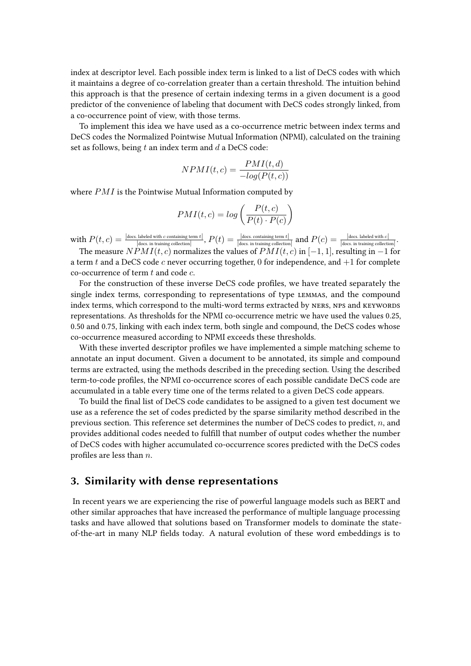index at descriptor level. Each possible index term is linked to a list of DeCS codes with which it maintains a degree of co-correlation greater than a certain threshold. The intuition behind this approach is that the presence of certain indexing terms in a given document is a good predictor of the convenience of labeling that document with DeCS codes strongly linked, from a co-occurrence point of view, with those terms.

To implement this idea we have used as a co-occurrence metric between index terms and DeCS codes the Normalized Pointwise Mutual Information (NPMI), calculated on the training set as follows, being  $t$  an index term and  $d$  a DeCS code:

$$
NPMI(t, c) = \frac{PMI(t, d)}{-log(P(t, c))}
$$

where  $PMI$  is the Pointwise Mutual Information computed by

$$
PMI(t, c) = log\left(\frac{P(t, c)}{P(t) \cdot P(c)}\right)
$$

with  $P(t, c) = \frac{|\text{does.}|\text{abeled with } c \text{ containing term } t|}{|\text{does. in training collection}|}, P(t) = \frac{|\text{does. containing term } t|}{|\text{does. in training collection}|}$  and  $P(c) = \frac{|\text{does.}|\text{abeled with } c|}{|\text{does. in training collection}|}.$ 

The measure  $NPMI(t, c)$  normalizes the values of  $PMI(t, c)$  in  $[-1, 1]$ , resulting in  $-1$  for a term t and a DeCS code  $c$  never occurring together, 0 for independence, and  $+1$  for complete co-occurrence of term  $t$  and code  $c$ .

For the construction of these inverse DeCS code profiles, we have treated separately the single index terms, corresponding to representations of type lemmas, and the compound index terms, which correspond to the multi-word terms extracted by NERS, NPS and KEYWORDS representations. As thresholds for the NPMI co-occurrence metric we have used the values 0.25, 0.50 and 0.75, linking with each index term, both single and compound, the DeCS codes whose co-occurrence measured according to NPMI exceeds these thresholds.

With these inverted descriptor profiles we have implemented a simple matching scheme to annotate an input document. Given a document to be annotated, its simple and compound terms are extracted, using the methods described in the preceding section. Using the described term-to-code profiles, the NPMI co-occurrence scores of each possible candidate DeCS code are accumulated in a table every time one of the terms related to a given DeCS code appears.

To build the final list of DeCS code candidates to be assigned to a given test document we use as a reference the set of codes predicted by the sparse similarity method described in the previous section. This reference set determines the number of DeCS codes to predict,  $n$ , and provides additional codes needed to fulfill that number of output codes whether the number of DeCS codes with higher accumulated co-occurrence scores predicted with the DeCS codes profiles are less than  $n$ .

#### <span id="page-5-0"></span>**3. Similarity with dense representations**

In recent years we are experiencing the rise of powerful language models such as BERT and other similar approaches that have increased the performance of multiple language processing tasks and have allowed that solutions based on Transformer models to dominate the stateof-the-art in many NLP fields today. A natural evolution of these word embeddings is to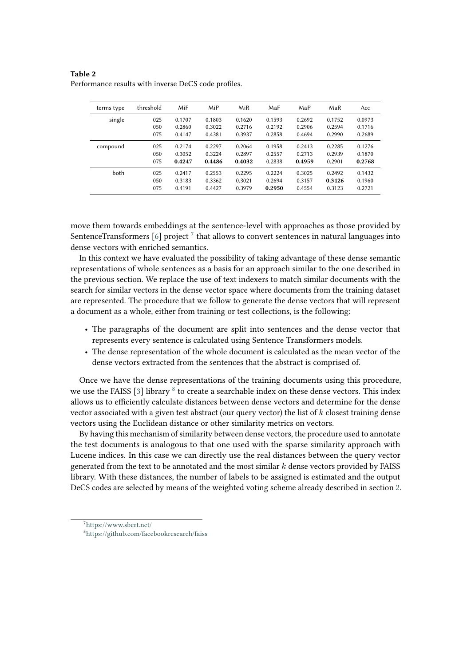<span id="page-6-2"></span>**Table 2** Performance results with inverse DeCS code profiles.

| terms type | threshold | MiF    | MiP    | MiR    | MaF    | MaP    | MaR    | Acc    |
|------------|-----------|--------|--------|--------|--------|--------|--------|--------|
| single     | 025       | 0.1707 | 0.1803 | 0.1620 | 0.1593 | 0.2692 | 0.1752 | 0.0973 |
|            | 050       | 0.2860 | 0.3022 | 0.2716 | 0.2192 | 0.2906 | 0.2594 | 0.1716 |
|            | 075       | 0.4147 | 0.4381 | 0.3937 | 0.2858 | 0.4694 | 0.2990 | 0.2689 |
| compound   | 025       | 0.2174 | 0.2297 | 0.2064 | 0.1958 | 0.2413 | 0.2285 | 0.1276 |
|            | 050       | 0.3052 | 0.3224 | 0.2897 | 0.2557 | 0.2713 | 0.2939 | 0.1870 |
|            | 075       | 0.4247 | 0.4486 | 0.4032 | 0.2838 | 0.4959 | 0.2901 | 0.2768 |
| both       | 025       | 0.2417 | 0.2553 | 0.2295 | 0.2224 | 0.3025 | 0.2492 | 0.1432 |
|            | 050       | 0.3183 | 0.3362 | 0.3021 | 0.2694 | 0.3157 | 0.3126 | 0.1960 |
|            | 075       | 0.4191 | 0.4427 | 0.3979 | 0.2950 | 0.4554 | 0.3123 | 0.2721 |

move them towards embeddings at the sentence-level with approaches as those provided by SentenceTransformers [\[6\]](#page-10-3) project  $^7$  $^7$  that allows to convert sentences in natural languages into dense vectors with enriched semantics.

In this context we have evaluated the possibility of taking advantage of these dense semantic representations of whole sentences as a basis for an approach similar to the one described in the previous section. We replace the use of text indexers to match similar documents with the search for similar vectors in the dense vector space where documents from the training dataset are represented. The procedure that we follow to generate the dense vectors that will represent a document as a whole, either from training or test collections, is the following:

- The paragraphs of the document are split into sentences and the dense vector that represents every sentence is calculated using Sentence Transformers models.
- The dense representation of the whole document is calculated as the mean vector of the dense vectors extracted from the sentences that the abstract is comprised of.

Once we have the dense representations of the training documents using this procedure, we use the FAISS [\[3\]](#page-10-4) library  $^8$  $^8$  to create a searchable index on these dense vectors. This index allows us to efficiently calculate distances between dense vectors and determine for the dense vector associated with a given test abstract (our query vector) the list of  $k$  closest training dense vectors using the Euclidean distance or other similarity metrics on vectors.

By having this mechanism of similarity between dense vectors, the procedure used to annotate the test documents is analogous to that one used with the sparse similarity approach with Lucene indices. In this case we can directly use the real distances between the query vector generated from the text to be annotated and the most similar  $k$  dense vectors provided by FAISS library. With these distances, the number of labels to be assigned is estimated and the output DeCS codes are selected by means of the weighted voting scheme already described in section [2.](#page-1-2)

<span id="page-6-0"></span><sup>7</sup> <https://www.sbert.net/>

<span id="page-6-1"></span><sup>8</sup> <https://github.com/facebookresearch/faiss>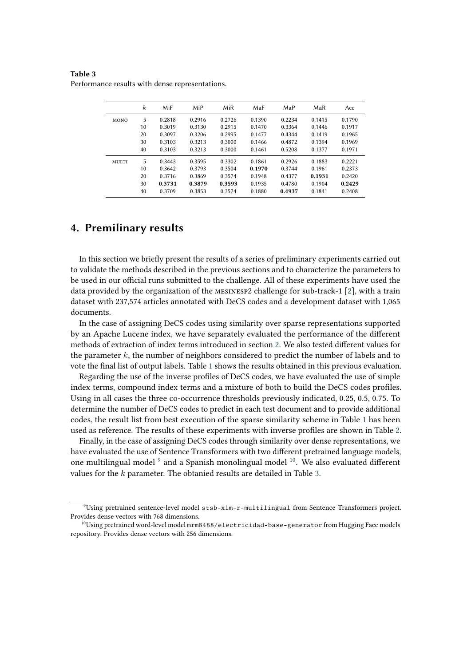<span id="page-7-2"></span>**Table 3** Performance results with dense representations.

|       | $\boldsymbol{k}$ | MiF    | MiP    | MiR    | MaF    | MaP    | MaR    | Acc    |
|-------|------------------|--------|--------|--------|--------|--------|--------|--------|
| MONO  | 5                | 0.2818 | 0.2916 | 0.2726 | 0.1390 | 0.2234 | 0.1415 | 0.1790 |
|       | 10               | 0.3019 | 0.3130 | 0.2915 | 0.1470 | 0.3364 | 0.1446 | 0.1917 |
|       | 20               | 0.3097 | 0.3206 | 0.2995 | 0.1477 | 0.4344 | 0.1419 | 0.1965 |
|       | 30               | 0.3103 | 0.3213 | 0.3000 | 0.1466 | 0.4872 | 0.1394 | 0.1969 |
|       | 40               | 0.3103 | 0.3213 | 0.3000 | 0.1461 | 0.5208 | 0.1377 | 0.1971 |
| MULTI | 5                | 0.3443 | 0.3595 | 0.3302 | 0.1861 | 0.2926 | 0.1883 | 0.2221 |
|       | 10               | 0.3642 | 0.3793 | 0.3504 | 0.1970 | 0.3744 | 0.1961 | 0.2373 |
|       | 20               | 0.3716 | 0.3869 | 0.3574 | 0.1948 | 0.4377 | 0.1931 | 0.2420 |
|       | 30               | 0.3731 | 0.3879 | 0.3593 | 0.1935 | 0.4780 | 0.1904 | 0.2429 |
|       | 40               | 0.3709 | 0.3853 | 0.3574 | 0.1880 | 0.4937 | 0.1841 | 0.2408 |

### **4. Premilinary results**

In this section we briefly present the results of a series of preliminary experiments carried out to validate the methods described in the previous sections and to characterize the parameters to be used in our official runs submitted to the challenge. All of these experiments have used the data provided by the organization of the mesinesp2 challenge for sub-track-1 [\[2\]](#page-10-5), with a train dataset with 237,574 articles annotated with DeCS codes and a development dataset with 1,065 documents.

In the case of assigning DeCS codes using similarity over sparse representations supported by an Apache Lucene index, we have separately evaluated the performance of the different methods of extraction of index terms introduced in section [2.](#page-1-2) We also tested different values for the parameter  $k$ , the number of neighbors considered to predict the number of labels and to vote the final list of output labels. Table [1](#page-4-0) shows the results obtained in this previous evaluation.

Regarding the use of the inverse profiles of DeCS codes, we have evaluated the use of simple index terms, compound index terms and a mixture of both to build the DeCS codes profiles. Using in all cases the three co-occurrence thresholds previously indicated, 0.25, 0.5, 0.75. To determine the number of DeCS codes to predict in each test document and to provide additional codes, the result list from best execution of the sparse similarity scheme in Table [1](#page-4-0) has been used as reference. The results of these experiments with inverse profiles are shown in Table [2.](#page-6-2)

Finally, in the case of assigning DeCS codes through similarity over dense representations, we have evaluated the use of Sentence Transformers with two different pretrained language models, one multilingual model  $9$  and a Spanish monolingual model  $10$ . We also evaluated different values for the  $k$  parameter. The obtanied results are detailed in Table [3.](#page-7-2)

<span id="page-7-0"></span> $9$ Using pretrained sentence-level model stsb-xlm-r-multilingual from Sentence Transformers project. Provides dense vectors with 768 dimensions.

<span id="page-7-1"></span> $^{10}$ Using pretrained word-level model mrm8488/electricidad-base-generator from Hugging Face models repository. Provides dense vectors with 256 dimensions.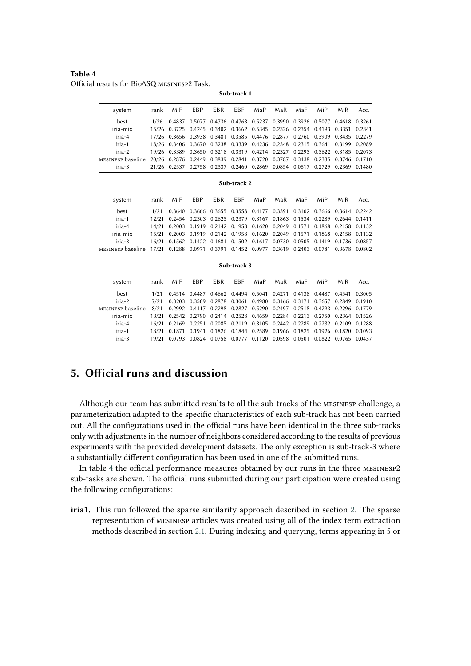<span id="page-8-0"></span>**Table 4** Official results for BioASQ mesinesp2 Task.

**Sub-track 1**

| system                                                                                        | rank MiF                                                                    | EBP | EBR EBF MaP | MaR | MaF | MiP | MiR | Acc. |
|-----------------------------------------------------------------------------------------------|-----------------------------------------------------------------------------|-----|-------------|-----|-----|-----|-----|------|
| best                                                                                          | 1/26 0.4837 0.5077 0.4736 0.4763 0.5237 0.3990 0.3926 0.5077 0.4618 0.3261  |     |             |     |     |     |     |      |
| iria-mix                                                                                      | 15/26 0.3725 0.4245 0.3402 0.3662 0.5345 0.2326 0.2354 0.4193 0.3351 0.2341 |     |             |     |     |     |     |      |
| iria-4                                                                                        | 17/26 0.3656 0.3938 0.3481 0.3585 0.4476 0.2877 0.2760 0.3909 0.3435 0.2279 |     |             |     |     |     |     |      |
| iria-1                                                                                        | 18/26 0.3406 0.3670 0.3238 0.3339 0.4236 0.2348 0.2315 0.3641 0.3199 0.2089 |     |             |     |     |     |     |      |
| iria-2                                                                                        | 19/26 0.3389 0.3650 0.3218 0.3319 0.4214 0.2327 0.2293 0.3622 0.3185 0.2073 |     |             |     |     |     |     |      |
| MESINESP baseline 20/26 0.2876 0.2449 0.3839 0.2841 0.3720 0.3787 0.3438 0.2335 0.3746 0.1710 |                                                                             |     |             |     |     |     |     |      |
| iria-3                                                                                        | 21/26 0.2537 0.2758 0.2337 0.2460 0.2869 0.0854 0.0817 0.2729 0.2369 0.1480 |     |             |     |     |     |     |      |

| system                                                                                        | rank MiF EBP EBR EBF MaP MaR MaF MiP |  |  |  | MiR                                                                                  | Acc. |
|-----------------------------------------------------------------------------------------------|--------------------------------------|--|--|--|--------------------------------------------------------------------------------------|------|
| best                                                                                          |                                      |  |  |  | 1/21  0.3640  0.3666  0.3655  0.3558  0.4177  0.3391  0.3102  0.3666  0.3614  0.2242 |      |
| iria-1                                                                                        |                                      |  |  |  | 12/21 0.2454 0.2303 0.2625 0.2379 0.3167 0.1863 0.1534 0.2289 0.2644 0.1411          |      |
| iria-4                                                                                        |                                      |  |  |  | 14/21 0.2003 0.1919 0.2142 0.1958 0.1620 0.2049 0.1571 0.1868 0.2158 0.1132          |      |
| iria-mix                                                                                      |                                      |  |  |  | 15/21 0.2003 0.1919 0.2142 0.1958 0.1620 0.2049 0.1571 0.1868 0.2158 0.1132          |      |
| iria-3                                                                                        |                                      |  |  |  | 16/21 0.1562 0.1422 0.1681 0.1502 0.1617 0.0730 0.0505 0.1419 0.1736 0.0857          |      |
| MESINESP baseline 17/21 0.1288 0.0971 0.3791 0.1452 0.0977 0.3619 0.2403 0.0781 0.3678 0.0802 |                                      |  |  |  |                                                                                      |      |
|                                                                                               |                                      |  |  |  |                                                                                      |      |

**Sub-track 3**

| system             |      | rank MiF | EBP EBR EBF MaP MaR MaF |  |  | MiP                                                                         | MiR | Acc. |
|--------------------|------|----------|-------------------------|--|--|-----------------------------------------------------------------------------|-----|------|
| best               | 1/21 |          |                         |  |  | 0.4514 0.4487 0.4662 0.4494 0.5041 0.4271 0.4138 0.4487 0.4541 0.3005       |     |      |
| iria-2             | 7/21 |          |                         |  |  | 0.3203 0.3509 0.2878 0.3061 0.4980 0.3166 0.3171 0.3657 0.2849 0.1910       |     |      |
| MESINESP baseline. | 8/21 |          |                         |  |  | 0.2992 0.4117 0.2298 0.2827 0.5290 0.2497 0.2518 0.4293 0.2296 0.1779       |     |      |
| iria-mix           |      |          |                         |  |  | 13/21 0.2542 0.2790 0.2414 0.2528 0.4659 0.2284 0.2213 0.2750 0.2364 0.1526 |     |      |
| iria-4             |      |          |                         |  |  | 16/21 0.2169 0.2251 0.2085 0.2119 0.3105 0.2442 0.2289 0.2232 0.2109 0.1288 |     |      |
| iria-1             |      |          |                         |  |  | 18/21 0.1871 0.1941 0.1826 0.1844 0.2589 0.1966 0.1825 0.1926 0.1820 0.1093 |     |      |
| iria-3             |      |          |                         |  |  | 19/21 0.0793 0.0824 0.0758 0.0777 0.1120 0.0598 0.0501 0.0822 0.0765 0.0437 |     |      |

## **5. Official runs and discussion**

Although our team has submitted results to all the sub-tracks of the mesinesp challenge, a parameterization adapted to the specific characteristics of each sub-track has not been carried out. All the configurations used in the official runs have been identical in the three sub-tracks only with adjustments in the number of neighbors considered according to the results of previous experiments with the provided development datasets. The only exception is sub-track-3 where a substantially different configuration has been used in one of the submitted runs.

In table [4](#page-8-0) the official performance measures obtained by our runs in the three mesinesp2 sub-tasks are shown. The official runs submitted during our participation were created using the following configurations:

**iria1.** This run followed the sparse similarity approach described in section [2.](#page-1-2) The sparse representation of mesinesp articles was created using all of the index term extraction methods described in section [2.1.](#page-2-1) During indexing and querying, terms appearing in 5 or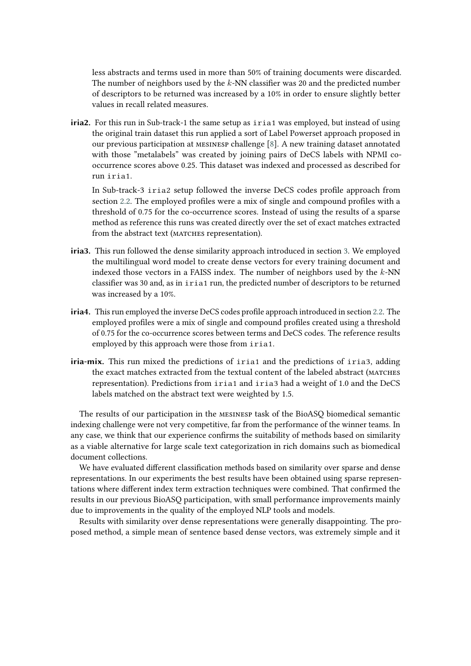less abstracts and terms used in more than 50% of training documents were discarded. The number of neighbors used by the  $k$ -NN classifier was 20 and the predicted number of descriptors to be returned was increased by a 10% in order to ensure slightly better values in recall related measures.

**iria2.** For this run in Sub-track-1 the same setup as iria1 was employed, but instead of using the original train dataset this run applied a sort of Label Powerset approach proposed in our previous participation at mesinesp challenge [\[8\]](#page-10-0). A new training dataset annotated with those "metalabels" was created by joining pairs of DeCS labels with NPMI cooccurrence scores above 0.25. This dataset was indexed and processed as described for run iria1.

In Sub-track-3 iria2 setup followed the inverse DeCS codes profile approach from section [2.2.](#page-4-1) The employed profiles were a mix of single and compound profiles with a threshold of 0.75 for the co-occurrence scores. Instead of using the results of a sparse method as reference this runs was created directly over the set of exact matches extracted from the abstract text (MATCHES representation).

- **iria3.** This run followed the dense similarity approach introduced in section [3.](#page-5-0) We employed the multilingual word model to create dense vectors for every training document and indexed those vectors in a FAISS index. The number of neighbors used by the  $k$ -NN classifier was 30 and, as in iria1 run, the predicted number of descriptors to be returned was increased by a 10%.
- **iria4.** This run employed the inverse DeCS codes profile approach introduced in section [2.2.](#page-4-1) The employed profiles were a mix of single and compound profiles created using a threshold of 0.75 for the co-occurrence scores between terms and DeCS codes. The reference results employed by this approach were those from iria1.
- **iria-mix.** This run mixed the predictions of iria1 and the predictions of iria3, adding the exact matches extracted from the textual content of the labeled abstract (matches representation). Predictions from iria1 and iria3 had a weight of 1.0 and the DeCS labels matched on the abstract text were weighted by 1.5.

The results of our participation in the mesinesp task of the BioASQ biomedical semantic indexing challenge were not very competitive, far from the performance of the winner teams. In any case, we think that our experience confirms the suitability of methods based on similarity as a viable alternative for large scale text categorization in rich domains such as biomedical document collections.

We have evaluated different classification methods based on similarity over sparse and dense representations. In our experiments the best results have been obtained using sparse representations where different index term extraction techniques were combined. That confirmed the results in our previous BioASQ participation, with small performance improvements mainly due to improvements in the quality of the employed NLP tools and models.

Results with similarity over dense representations were generally disappointing. The proposed method, a simple mean of sentence based dense vectors, was extremely simple and it